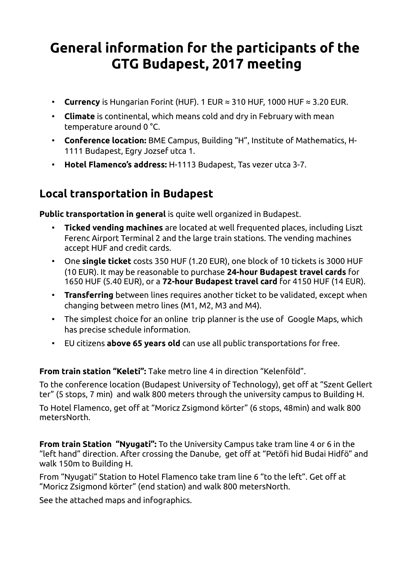## **General information for the participants of the GTG Budapest, 2017 meeting**

- **Currency** is Hungarian Forint (HUF). 1 EUR ≈ 310 HUF, 1000 HUF ≈ 3.20 EUR.
- **Climate** is continental, which means cold and dry in February with mean temperature around 0 °C.
- **Conference location:** BME Campus, Building "H", Institute of Mathematics, H-1111 Budapest, Egry Jozsef utca 1.
- **Hotel Flamenco's address:** H-1113 Budapest, Tas vezer utca 3-7.

## **Local transportation in Budapest**

**Public transportation in general** is quite well organized in Budapest.

- **Ticked vending machines** are located at well frequented places, including Liszt Ferenc Airport Terminal 2 and the large train stations. The vending machines accept HUF and credit cards.
- One **single ticket** costs 350 HUF (1.20 EUR), one block of 10 tickets is 3000 HUF (10 EUR). It may be reasonable to purchase **24-hour Budapest travel cards** for 1650 HUF (5.40 EUR), or a **72-hour Budapest travel card** for 4150 HUF (14 EUR).
- **Transferring** between lines requires another ticket to be validated, except when changing between metro lines (M1, M2, M3 and M4).
- The simplest choice for an online trip planner is the use of Google Maps, which has precise schedule information.
- EU citizens **above 65 years old** can use all public transportations for free.

**From train station "Keleti":** Take metro line 4 in direction "Kelenföld".

To the conference location (Budapest University of Technology), get off at "Szent Gellert ter" (5 stops, 7 min) and walk 800 meters through the university campus to Building H.

To Hotel Flamenco, get off at "Moricz Zsigmond körter" (6 stops, 48min) and walk 800 metersNorth.

**From train Station "Nyugati":** To the University Campus take tram line 4 or 6 in the "left hand" direction. After crossing the Danube, get off at "Petöfi hid Budai Hidfö" and walk 150m to Building H.

From "Nyugati" Station to Hotel Flamenco take tram line 6 "to the left". Get off at "Moricz Zsigmond körter" (end station) and walk 800 metersNorth.

See the attached maps and infographics.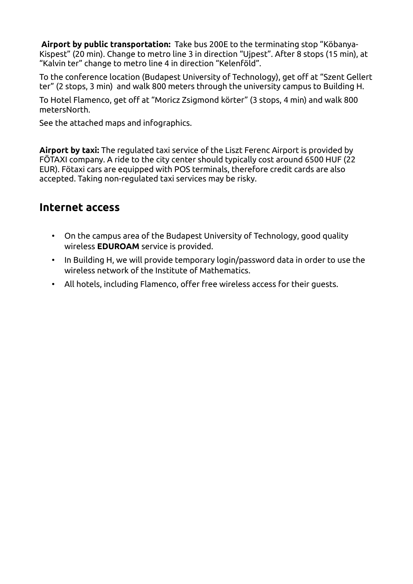**Airport by public transportation:** Take bus 200E to the terminating stop "Köbanya-Kispest" (20 min). Change to metro line 3 in direction "Ujpest". After 8 stops (15 min), at "Kalvin ter" change to metro line 4 in direction "Kelenföld".

To the conference location (Budapest University of Technology), get off at "Szent Gellert ter" (2 stops, 3 min) and walk 800 meters through the university campus to Building H.

To Hotel Flamenco, get off at "Moricz Zsigmond körter" (3 stops, 4 min) and walk 800 metersNorth.

See the attached maps and infographics.

**Airport by taxi:** The regulated taxi service of the Liszt Ferenc Airport is provided by FÖTAXI company. A ride to the city center should typically cost around 6500 HUF (22 EUR). Fötaxi cars are equipped with POS terminals, therefore credit cards are also accepted. Taking non-regulated taxi services may be risky.

## **Internet access**

- On the campus area of the Budapest University of Technology, good quality wireless **EDUROAM** service is provided.
- In Building H, we will provide temporary login/password data in order to use the wireless network of the Institute of Mathematics.
- All hotels, including Flamenco, offer free wireless access for their guests.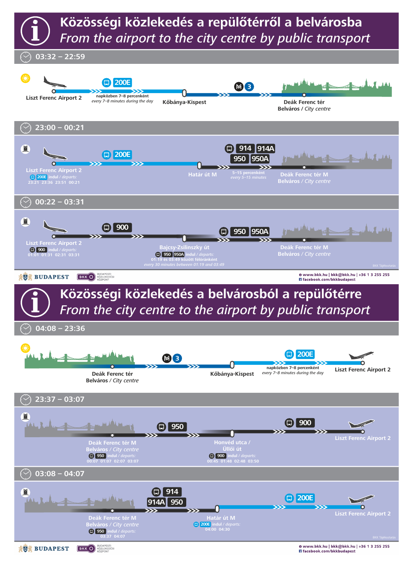

楽器 BUDAPEST

BKK O KOZLEKEDES

0 www.bkk.hu | bkk@bkk.hu | +36 1 3 255 255 Fi facebook.com/bkkbudapest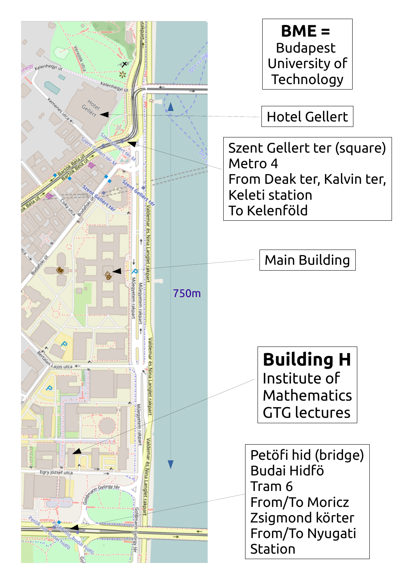